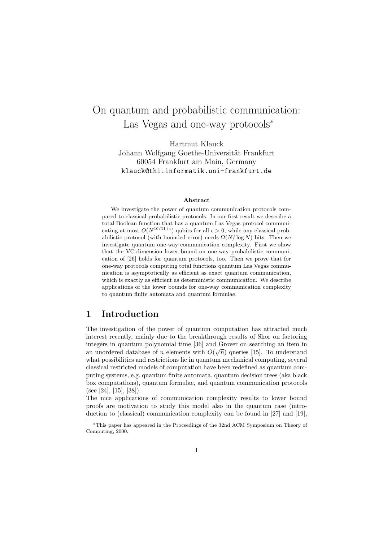# On quantum and probabilistic communication: Las Vegas and one-way protocols<sup>∗</sup>

Hartmut Klauck

Johann Wolfgang Goethe-Universität Frankfurt 60054 Frankfurt am Main, Germany klauck@thi.informatik.uni-frankfurt.de

#### Abstract

We investigate the power of quantum communication protocols compared to classical probabilistic protocols. In our first result we describe a total Boolean function that has a quantum Las Vegas protocol communicating at most  $O(N^{10/11+\epsilon})$  qubits for all  $\epsilon > 0$ , while any classical probabilistic protocol (with bounded error) needs  $\Omega(N/\log N)$  bits. Then we investigate quantum one-way communication complexity. First we show that the VC-dimension lower bound on one-way probabilistic communication of [26] holds for quantum protocols, too. Then we prove that for one-way protocols computing total functions quantum Las Vegas communication is asymptotically as efficient as exact quantum communication, which is exactly as efficient as deterministic communication. We describe applications of the lower bounds for one-way communication complexity to quantum finite automata and quantum formulae.

### 1 Introduction

The investigation of the power of quantum computation has attracted much interest recently, mainly due to the breakthrough results of Shor on factoring integers in quantum polynomial time  $[36]$  and Grover on searching an item in an unordered database of *n* elements with  $O(\sqrt{n})$  queries [15]. To understand what possibilities and restrictions lie in quantum mechanical computing, several classical restricted models of computation have been redefined as quantum computing systems, e.g. quantum finite automata, quantum decision trees (aka black box computations), quantum formulae, and quantum communication protocols (see [24], [15], [38]).

The nice applications of communication complexity results to lower bound proofs are motivation to study this model also in the quantum case (introduction to (classical) communication complexity can be found in [27] and [19],

<sup>∗</sup>This paper has appeared in the Proceedings of the 32nd ACM Symposium on Theory of Computing, 2000.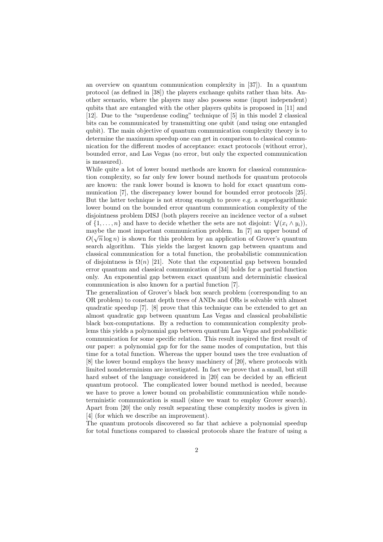an overview on quantum communication complexity in [37]). In a quantum protocol (as defined in [38]) the players exchange qubits rather than bits. Another scenario, where the players may also possess some (input independent) qubits that are entangled with the other players qubits is proposed in [11] and [12]. Due to the "superdense coding" technique of [5] in this model 2 classical bits can be communicated by transmitting one qubit (and using one entangled qubit). The main objective of quantum communication complexity theory is to determine the maximum speedup one can get in comparison to classical communication for the different modes of acceptance: exact protocols (without error), bounded error, and Las Vegas (no error, but only the expected communication is measured).

While quite a lot of lower bound methods are known for classical communication complexity, so far only few lower bound methods for quantum protocols are known: the rank lower bound is known to hold for exact quantum communication [7], the discrepancy lower bound for bounded error protocols [25]. But the latter technique is not strong enough to prove e.g. a superlogarithmic lower bound on the bounded error quantum communication complexity of the disjointness problem DISJ (both players receive an incidence vector of a subset of  $\{1, \ldots, n\}$  and have to decide whether the sets are not disjoint:  $\bigvee (x_i \wedge y_i)$ , maybe the most important communication problem. In [7] an upper bound of  $\alpha(\vec{r})$  $O(\sqrt{n}\log n)$  is shown for this problem by an application of Grover's quantum search algorithm. This yields the largest known gap between quantum and classical communication for a total function, the probabilistic communication of disjointness is  $\Omega(n)$  [21]. Note that the exponential gap between bounded error quantum and classical communication of [34] holds for a partial function only. An exponential gap between exact quantum and deterministic classical communication is also known for a partial function [7].

The generalization of Grover's black box search problem (corresponding to an OR problem) to constant depth trees of ANDs and ORs is solvable with almost quadratic speedup [7]. [8] prove that this technique can be extended to get an almost quadratic gap between quantum Las Vegas and classical probabilistic black box-computations. By a reduction to communication complexity problems this yields a polynomial gap between quantum Las Vegas and probabilistic communication for some specific relation. This result inspired the first result of our paper: a polynomial gap for for the same modes of computation, but this time for a total function. Whereas the upper bound uses the tree evaluation of [8] the lower bound employs the heavy machinery of [20], where protocols with limited nondeterminism are investigated. In fact we prove that a small, but still hard subset of the language considered in [20] can be decided by an efficient quantum protocol. The complicated lower bound method is needed, because we have to prove a lower bound on probabilistic communication while nondeterministic communication is small (since we want to employ Grover search). Apart from [20] the only result separating these complexity modes is given in [4] (for which we describe an improvement).

The quantum protocols discovered so far that achieve a polynomial speedup for total functions compared to classical protocols share the feature of using a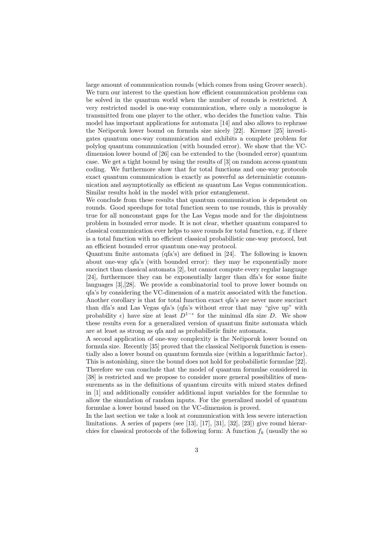large amount of communication rounds (which comes from using Grover search). We turn our interest to the question how efficient communication problems can be solved in the quantum world when the number of rounds is restricted. A very restricted model is one-way communication, where only a monologue is transmitted from one player to the other, who decides the function value. This model has important applications for automata [14] and also allows to rephrase the Nečiporuk lower bound on formula size nicely  $[22]$ . Kremer  $[25]$  investigates quantum one-way communication and exhibits a complete problem for polylog quantum communication (with bounded error). We show that the VCdimension lower bound of [26] can be extended to the (bounded error) quantum case. We get a tight bound by using the results of [3] on random access quantum coding. We furthermore show that for total functions and one-way protocols exact quantum communication is exactly as powerful as deterministic communication and asymptotically as efficient as quantum Las Vegas communication. Similar results hold in the model with prior entanglement.

We conclude from these results that quantum communication is dependent on rounds. Good speedups for total function seem to use rounds, this is provably true for all nonconstant gaps for the Las Vegas mode and for the disjointness problem in bounded error mode. It is not clear, whether quantum compared to classical communication ever helps to save rounds for total function, e.g. if there is a total function with no efficient classical probabilistic one-way protocol, but an efficient bounded error quantum one-way protocol.

Quantum finite automata (qfa's) are defined in [24]. The following is known about one-way qfa's (with bounded error): they may be exponentially more succinct than classical automata [2], but cannot compute every regular language [24], furthermore they can be exponentially larger than dfa's for some finite languages [3],[28]. We provide a combinatorial tool to prove lower bounds on qfa's by considering the VC-dimension of a matrix associated with the function. Another corollary is that for total function exact qfa's are never more succinct than dfa's and Las Vegas qfa's (qfa's without error that may "give up" with probability  $\epsilon$ ) have size at least  $D^{1-\epsilon}$  for the minimal dfa size D. We show these results even for a generalized version of quantum finite automata which are at least as strong as qfa and as probabilistic finite automata.

A second application of one-way complexity is the Nečiporuk lower bound on formula size. Recently [35] proved that the classical Nečiporuk function is essentially also a lower bound on quantum formula size (within a logarithmic factor). This is astonishing, since the bound does not hold for probabilistic formulae [22]. Therefore we can conclude that the model of quantum formulae considered in [38] is restricted and we propose to consider more general possibilities of measurements as in the definitions of quantum circuits with mixed states defined in [1] and additionally consider additional input variables for the formulae to allow the simulation of random inputs. For the generalized model of quantum formulae a lower bound based on the VC-dimension is proved.

In the last section we take a look at communication with less severe interaction limitations. A series of papers (see [13], [17], [31], [32], [23]) give round hierarchies for classical protocols of the following form: A function  $f_k$  (usually the so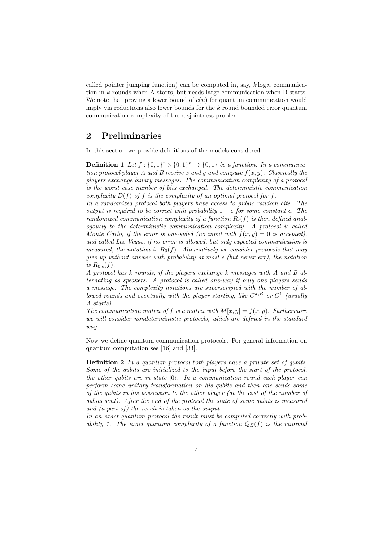called pointer jumping function) can be computed in, say,  $k \log n$  communication in  $k$  rounds when A starts, but needs large communication when B starts. We note that proving a lower bound of  $c(n)$  for quantum communication would imply via reductions also lower bounds for the  $k$  round bounded error quantum communication complexity of the disjointness problem.

#### 2 Preliminaries

In this section we provide definitions of the models considered.

**Definition 1** Let  $f : \{0,1\}^n \times \{0,1\}^n \rightarrow \{0,1\}$  be a function. In a communication protocol player A and B receive x and y and compute  $f(x, y)$ . Classically the players exchange binary messages. The communication complexity of a protocol is the worst case number of bits exchanged. The deterministic communication complexity  $D(f)$  of f is the complexity of an optimal protocol for f.

In a randomized protocol both players have access to public random bits. The output is required to be correct with probability  $1 - \epsilon$  for some constant  $\epsilon$ . The randomized communication complexity of a function  $R_{\epsilon}(f)$  is then defined analogously to the deterministic communication complexity. A protocol is called Monte Carlo, if the error is one-sided (no input with  $f(x, y) = 0$  is accepted), and called Las Vegas, if no error is allowed, but only expected communication is measured, the notation is  $R_0(f)$ . Alternatively we consider protocols that may give up without answer with probability at most  $\epsilon$  (but never err), the notation is  $R_{0,\epsilon}(f)$ .

A protocol has k rounds, if the players exchange k messages with A and B alternating as speakers. A protocol is called one-way if only one players sends a message. The complexity notations are superscripted with the number of allowed rounds and eventually with the player starting, like  $C^{k,B}$  or  $C^1$  (usually A starts).

The communication matrix of f is a matrix with  $M[x, y] = f(x, y)$ . Furthermore we will consider nondeterministic protocols, which are defined in the standard way.

Now we define quantum communication protocols. For general information on quantum computation see [16] and [33].

Definition 2 In a quantum protocol both players have a private set of qubits. Some of the qubits are initialized to the input before the start of the protocol, the other qubits are in state  $|0\rangle$ . In a communication round each player can perform some unitary transformation on his qubits and then one sends some of the qubits in his possession to the other player (at the cost of the number of qubits sent). After the end of the protocol the state of some qubits is measured and  $(a$  part of) the result is taken as the output.

In an exact quantum protocol the result must be computed correctly with probability 1. The exact quantum complexity of a function  $Q_E(f)$  is the minimal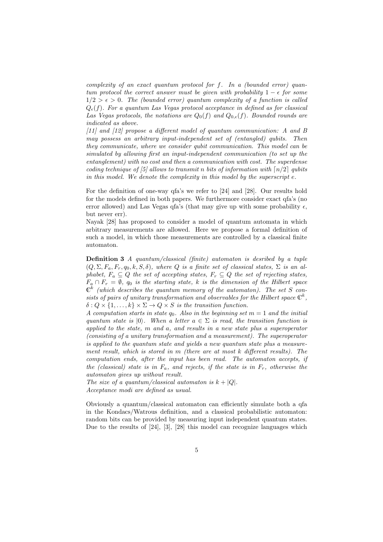complexity of an exact quantum protocol for f. In a (bounded error) quantum protocol the correct answer must be given with probability  $1 - \epsilon$  for some  $1/2 > \epsilon > 0$ . The (bounded error) quantum complexity of a function is called  $Q_{\epsilon}(f)$ . For a quantum Las Vegas protocol acceptance in defined as for classical Las Vegas protocols, the notations are  $Q_0(f)$  and  $Q_{0,\epsilon}(f)$ . Bounded rounds are indicated as above.

[11] and [12] propose a different model of quantum communication: A and B may possess an arbitrary input-independent set of (entangled) qubits. Then they communicate, where we consider qubit communication. This model can be simulated by allowing first an input-independent communication (to set up the entanglement) with no cost and then a communication with cost. The superdense coding technique of [5] allows to transmit n bits of information with  $\lceil n/2 \rceil$  qubits in this model. We denote the complexity in this model by the superscript  $e$ .

For the definition of one-way qfa's we refer to [24] and [28]. Our results hold for the models defined in both papers. We furthermore consider exact qfa's (no error allowed) and Las Vegas qfa's (that may give up with some probability  $\epsilon$ , but never err).

Nayak [28] has proposed to consider a model of quantum automata in which arbitrary measurements are allowed. Here we propose a formal definition of such a model, in which those measurements are controlled by a classical finite automaton.

Definition 3 A quantum/classical (finite) automaton is desribed by a tuple  $(Q, \Sigma, F_a, F_r, q_0, k, S, \delta)$ , where Q is a finite set of classical states,  $\Sigma$  is an alphabet,  $F_a \subseteq Q$  the set of accepting states,  $F_r \subseteq Q$  the set of rejecting states,  $F_a \cap F_r = \emptyset$ ,  $q_0$  is the starting state, k is the dimension of the Hilbert space  $\mathbb{C}^k$  (which describes the quantum memory of the automaton). The set S consists of pairs of unitary transformation and observables for the Hilbert space  $\mathbb{C}^k$ ,  $\delta: Q \times \{1, \ldots, k\} \times \Sigma \rightarrow Q \times S$  is the transition function.

A computation starts in state  $q_0$ . Also in the beginning set  $m = 1$  and the initial quantum state is  $|0\rangle$ . When a letter  $a \in \Sigma$  is read, the transition function is applied to the state, m and a, and results in a new state plus a superoperator (consisting of a unitary transformation and a measurement). The superoperator is applied to the quantum state and yields a new quantum state plus a measurement result, which is stored in m (there are at most k different results). The computation ends, after the input has been read. The automaton accepts, if the (classical) state is in  $F_a$ , and rejects, if the state is in  $F_r$ , otherwise the automaton gives up without result.

The size of a quantum/classical automaton is  $k + |Q|$ . Acceptance modi are defined as usual.

Obviously a quantum/classical automaton can efficiently simulate both a qfa in the Kondacs/Watrous definition, and a classical probabilistic automaton: random bits can be provided by measuring input independent quantum states. Due to the results of [24], [3], [28] this model can recognize languages which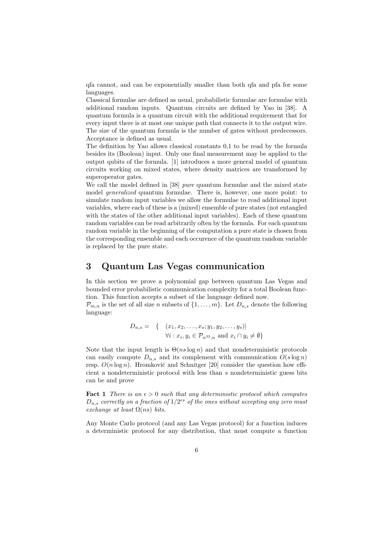qfa cannot, and can be exponentially smaller than both qfa and pfa for some languages.

Classical formulae are defined as usual, probabilistic formulae are formulae with additional random inputs. Quantum circuits are defined by Yao in [38]. A quantum formula is a quantum circuit with the additional requirement that for every input there is at most one unique path that connects it to the output wire. The size of the quantum formula is the number of gates without predecessors. Acceptance is defined as usual.

The definition by Yao allows classical constants 0,1 to be read by the formula besides its (Boolean) input. Only one final measurement may be applied to the output qubits of the formula. [1] introduces a more general model of quantum circuits working on mixed states, where density matrices are transformed by superoperator gates.

We call the model defined in [38] pure quantum formulae and the mixed state model generalized quantum formulae. There is, however, one more point: to simulate random input variables we allow the formulae to read additional input variables, where each of these is a (mixed) ensemble of pure states (not entangled with the states of the other additional input variables). Each of these quantum random variables can be read arbitrarily often by the formula. For each quantum random variable in the beginning of the computation a pure state is chosen from the corresponding ensemble and each occurence of the quantum random variable is replaced by the pure state.

#### 3 Quantum Las Vegas communication

In this section we prove a polynomial gap between quantum Las Vegas and bounded error probabilistic communication complexity for a total Boolean function. This function accepts a subset of the language defined now.

 $\mathcal{P}_{m,n}$  is the set of all size n subsets of  $\{1,\ldots,m\}$ . Let  $D_{n,s}$  denote the following language:

$$
D_{n,s} = \{ (x_1, x_2, \dots, x_s; y_1, y_2, \dots, y_s) |
$$
  

$$
\forall i : x_i, y_i \in \mathcal{P}_{n^{32}, n} \text{ and } x_i \cap y_i \neq \emptyset \}
$$

Note that the input length is  $\Theta(ns \log n)$  and that nondeterministic protocols can easily compute  $D_{n,s}$  and its complement with communication  $O(s \log n)$ resp.  $O(n \log n)$ . Hromkovič and Schnitger [20] consider the question how efficient a nondeterministic protocol with less than s nondeterministic guess bits can be and prove

**Fact 1** There is an  $\epsilon > 0$  such that any deterministic protocol which computes  $D_{n,s}$  correctly on a fraction of  $1/2^{es}$  of the ones without accepting any zero must exchange at least  $\Omega(ns)$  bits.

Any Monte Carlo protocol (and any Las Vegas protocol) for a function induces a deterministic protocol for any distribution, that must compute a function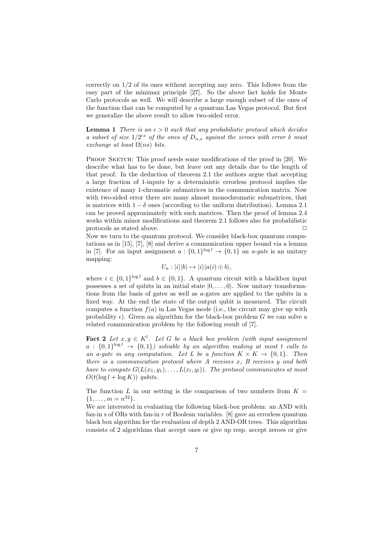correctly on 1/2 of its ones without accepting any zero. This follows from the easy part of the minimax principle [27]. So the above fact holds for Monte Carlo protocols as well. We will describe a large enough subset of the ones of the function that can be computed by a quantum Las Vegas protocol. But first we generalize the above result to allow two-sided error.

**Lemma 1** There is an  $\epsilon > 0$  such that any probabilistic protocol which decides a subset of size  $1/2^{cs}$  of the ones of  $D_{n,s}$  against the zeroes with error  $\delta$  must exchange at least  $\Omega(ns)$  bits.

PROOF SKETCH: This proof needs some modifications of the proof in [20]. We describe what has to be done, but leave out any details due to the length of that proof. In the deduction of theorem 2.1 the authors argue that accepting a large fraction of 1-inputs by a deterministic errorless protocol implies the existence of many 1-chromatic submatrices in the communication matrix. Now with two-sided error there are many almost monochromatic submatrices, that is matrices with  $1 - \delta$  ones (according to the uniform distribution). Lemma 2.1 can be proved approximately with such matrices. Then the proof of lemma 2.4 works within minor modifications and theorem 2.1 follows also for probabilistic protocols as stated above.  $\hfill \square$ 

Now we turn to the quantum protocol. We consider black-box quantum computations as in [15], [7], [8] and derive a communication upper bound via a lemma in [7]. For an input assignment  $a: \{0,1\}^{\log l} \to \{0,1\}$  an *a-gate* is an unitary mapping:

$$
U_a: |i\rangle|b\rangle \mapsto |i\rangle|a(i) \oplus b\rangle,
$$

where  $i \in \{0,1\}^{\log l}$  and  $b \in \{0,1\}$ . A quantum circuit with a blackbox input possesses a set of qubits in an initial state  $|0, \ldots, 0\rangle$ . Now unitary transformations from the basis of gates as well as a-gates are applied to the qubits in a fixed way. At the end the state of the output qubit is measured. The circuit computes a function  $f(a)$  in Las Vegas mode (i.e., the circuit may give up with probability  $\epsilon$ ). Given an algorithm for the black-box problem G we can solve a related communication problem by the following result of [7].

**Fact 2** Let  $x, y \in K^l$ . Let G be a black box problem (with input assignment  $a: \{0,1\}^{\log l} \rightarrow \{0,1\}$  solvable by an algorithm making at most t calls to an a-gate in any computation. Let L be a function  $K \times K \to \{0,1\}$ . Then there is a communication protocol where  $A$  receives  $x, B$  receives  $y$  and both have to compute  $G(L(x_1,y_1),\ldots,L(x_l,y_l))$ . The protocol communicates at most  $O(t(\log l + \log K))$  qubits.

The function L in our setting is the comparison of two numbers from  $K =$  $\{1, \ldots, m = n^{32}\}.$ 

We are interested in evaluating the following black-box problem: an AND with fan-in s of ORs with fan-in  $r$  of Boolean variables. [8] gave an errorless quantum black box algorithm for the evaluation of depth 2 AND-OR trees. This algorithm consists of 2 algorithms that accept ones or give up resp. accept zeroes or give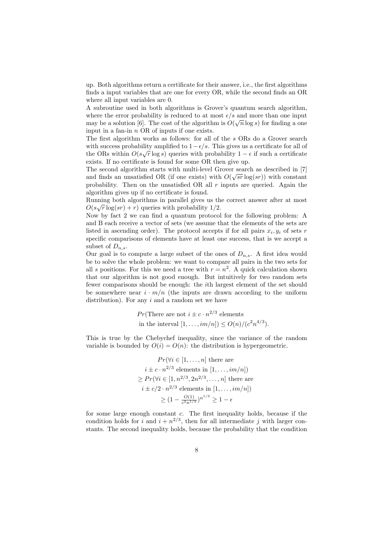up. Both algorithms return a certificate for their answer, i.e., the first algorithms finds a input variables that are one for every OR, while the second finds an OR where all input variables are 0.

A subroutine used in both algorithms is Grover's quantum search algorithm, where the error probability is reduced to at most  $\epsilon/s$  and more than one input may be a solution [6]. The cost of the algorithm is  $O(\sqrt{n}\log s)$  for finding a one input in a fan-in  $n$  OR of inputs if one exists.

The first algorithm works as follows: for all of the s ORs do a Grover search with success probability amplified to  $1-\epsilon/s$ . This gives us a certificate for all of the ORs within  $O(s\sqrt{r} \log s)$  queries with probability  $1 - \epsilon$  if such a certificate exists. If no certificate is found for some OR then give up.

The second algorithm starts with multi-level Grover search as described in [7] and finds an unsatisfied OR (if one exists) with  $O(\sqrt{sr} \log(sr))$  with constant probability. Then on the unsatisfied OR all  $r$  inputs are queried. Again the algorithm gives up if no certificate is found.

Running both algorithms in parallel gives us the correct answer after at most  $O(s\sqrt{r}\log(sr) + r)$  queries with probability 1/2.

Now by fact 2 we can find a quantum protocol for the following problem: A and B each receive a vector of sets (we assume that the elements of the sets are listed in ascending order). The protocol accepts if for all pairs  $x_i, y_i$  of sets r specific comparisons of elements have at least one success, that is we accept a subset of  $D_{n,s}$ .

Our goal is to compute a large subset of the ones of  $D_{n,s}$ . A first idea would be to solve the whole problem: we want to compare all pairs in the two sets for all s positions. For this we need a tree with  $r = n^2$ . A quick calculation shown that our algorithm is not good enough. But intuitively for two random sets fewer comparisons should be enough: the ith largest element of the set should be somewhere near  $i \cdot m/n$  (the inputs are drawn according to the uniform distribution). For any  $i$  and a random set we have

$$
Pr
$$
(There are not  $i \pm c \cdot n^{2/3}$  elements  
in the interval  $[1, ..., im/n] \le O(n)/(c^2 n^{4/3})$ .

This is true by the Chebychef inequality, since the variance of the random variable is bounded by  $O(i) = O(n)$ : the distribution is hypergeometric.

$$
Pr(\forall i \in [1, ..., n] \text{ there are}
$$

$$
i \pm c \cdot n^{2/3} \text{ elements in } [1, ..., im/n])
$$

$$
\ge Pr(\forall i \in [1, n^{2/3}, 2n^{2/3}, ..., n] \text{ there are}
$$

$$
i \pm c/2 \cdot n^{2/3} \text{ elements in } [1, ..., im/n])
$$

$$
\ge (1 - \frac{O(1)}{c^2 n^{1/3}})^{n^{1/3}} \ge 1 - \epsilon
$$

for some large enough constant  $c$ . The first inequality holds, because if the condition holds for i and  $i + n^{2/3}$ , then for all intermediate j with larger constants. The second inequality holds, because the probability that the condition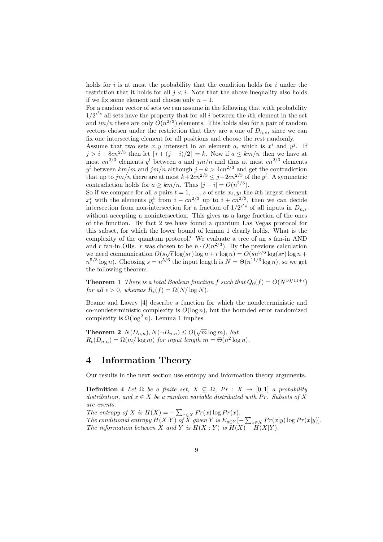holds for i is at most the probability that the condition holds for i under the restriction that it holds for all  $j < i$ . Note that the above inequality also holds if we fix some element and choose only  $n-1$ .

For a random vector of sets we can assume in the following that with probability  $1/2^{e's}$  all sets have the property that for all i between the ith element in the set and  $im/n$  there are only  $O(n^{2/3})$  elements. This holds also for a pair of random vectors chosen under the restriction that they are a one of  $D_{n,s}$ , since we can fix one intersecting element for all positions and choose the rest randomly.

Assume that two sets  $x, y$  intersect in an element a, which is  $x^i$  and  $y^j$ . If  $j > i + 8cn^{2/3}$  then let  $[i + (j - i)/2] = k$ . Now if  $a \leq km/n$  then we have at most  $cn^{2/3}$  elements  $y^{l}$  between a and  $jm/n$  and thus at most  $cn^{2/3}$  elements  $y^{l}$  between  $km/m$  and  $jm/n$  although  $j - k > 4cn^{2/3}$  and get the contradiction that up to  $jm/n$  there are at most  $k+2cn^{2/3} \leq j-2cn^{2/3}$  of the  $y^l$ . A symmetric contradiction holds for  $a \geq km/n$ . Thus  $|j - i| = O(n^{2/3})$ .

So if we compare for all s pairs  $t = 1, \ldots, s$  of sets  $x_t, y_t$  the *i*th largest element  $x_t^i$  with the elements  $y_t^k$  from  $i - cn^{2/3}$  up to  $i + cn^{2/3}$ , then we can decide intersection from non-intersection for a fraction of  $1/2^{e's}$  of all inputs in  $D_{n,s}$ without accepting a nonintersection. This gives us a large fraction of the ones of the function. By fact 2 we have found a quantum Las Vegas protocol for this subset, for which the lower bound of lemma 1 clearly holds. What is the complexity of the quantum protocol? We evaluate a tree of an s fan-in AND and r fan-in ORs. r was chosen to be  $n \cdot O(n^{2/3})$ . By the previous calculation we need communication  $O(s\sqrt{r} \log(sr) \log n + r \log n) = O(s n^{5/6} \log(sr) \log n +$  $n^{5/3} \log n$ ). Choosing  $s = n^{5/6}$  the input length is  $N = \Theta(n^{11/6} \log n)$ , so we get the following theorem.

**Theorem 1** There is a total Boolean function f such that  $Q_0(f) = O(N^{10/11+\epsilon})$ for all  $\epsilon > 0$ , whereas  $R_{\epsilon}(f) = \Omega(N/\log N)$ .

Beame and Lawry [4] describe a function for which the nondeterministic and co-nondeterministic complexity is  $O(\log n)$ , but the bounded error randomized complexity is  $\Omega(\log^2 n)$ . Lemma 1 implies

**Theorem 2**  $N(D_{n,n}), N(\neg D_{n,n}) \leq O(\sqrt{m} \log m)$ , but  $R_{\epsilon}(D_{n,n}) = \Omega(m/\log m)$  for input length  $m = \Theta(n^2 \log n)$ .

### 4 Information Theory

Our results in the next section use entropy and information theory arguments.

Definition 4 Let  $\Omega$  be a finite set,  $X \subseteq \Omega$ ,  $Pr : X \rightarrow [0,1]$  a probability distribution, and  $x \in X$  be a random variable distributed with Pr. Subsets of X are events.

The entropy of X is  $H(X) = -\sum_{x \in X} Pr(x) \log Pr(x)$ . The conditional entropy  $H(X|Y)$  of  $\overline{X}$  given  $Y$  is  $E_{y \in Y}[-\sum_{x \in X} Pr(x|y) \log Pr(x|y)].$ The information between X and Y is  $H(X:Y)$  is  $H(X) - H(X|Y)$ .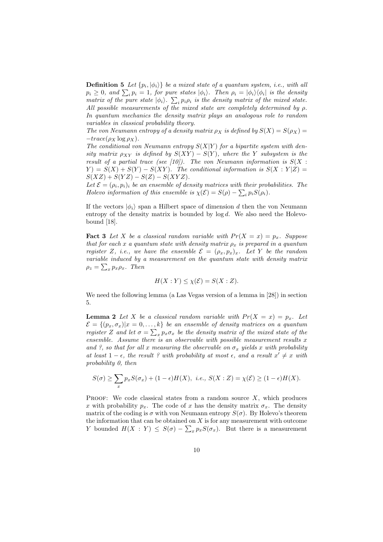**Definition 5** Let  $\{p_i, |\phi_i\rangle\}$  be a mixed state of a quantum system, i.e., with all  $p_i \geq 0$ , and  $\sum_i p_i = 1$ , for pure states  $|\phi_i\rangle$ . Then  $\rho_i = |\phi_i\rangle \langle \phi_i|$  is the density matrix of the pure state  $|\phi_i\rangle$ .  $\sum_i p_i \rho_i$  is the density matrix of the mixed state. All possible measurements of the mixed state are completely determined by  $\rho$ . In quantum mechanics the density matrix plays an analogous role to random variables in classical probability theory.

The von Neumann entropy of a density matrix  $\rho_X$  is defined by  $S(X) = S(\rho_X)$  $-trace(\rho_X \log \rho_X)$ .

The conditional von Neumann entropy  $S(X|Y)$  for a bipartite system with density matrix  $\rho_{XY}$  is defined by  $S(XY) - S(Y)$ , where the Y subsystem is the result of a partial trace (see [10]). The von Neumann information is  $S(X : Y)$  $Y = S(X) + S(Y) - S(XY)$ . The conditional information is  $S(X:Y|Z) =$  $S(XZ) + S(YZ) - S(Z) - S(XYZ).$ 

Let  $\mathcal{E} = (\rho_i, p_i)_i$  be an ensemble of density matrices with their probabilities. The Holevo information of this ensemble is  $\chi(\mathcal{E}) = S(\rho) - \sum_i p_i S(\rho_i)$ .

If the vectors  $|\phi_i\rangle$  span a Hilbert space of dimension d then the von Neumann entropy of the density matrix is bounded by  $log d$ . We also need the Holevobound [18].

**Fact 3** Let X be a classical random variable with  $Pr(X = x) = p_x$ . Suppose that for each x a quantum state with density matrix  $\rho_x$  is prepared in a quantum register Z, i.e., we have the ensemble  $\mathcal{E} = (\rho_x, p_x)_x$ . Let Y be the random variable induced by a measurement on the quantum state with density matrix  $\rho_z = \sum_x p_x \rho_x$ . Then

$$
H(X:Y) \le \chi(\mathcal{E}) = S(X:Z).
$$

We need the following lemma (a Las Vegas version of a lemma in [28]) in section 5.

**Lemma 2** Let X be a classical random variable with  $Pr(X = x) = p_x$ . Let  $\mathcal{E} = \{(p_x, \sigma_x)|x = 0, \ldots, k\}$  be an ensemble of density matrices on a quantum register Z and let  $\sigma = \sum_{x} p_x \sigma_x$  be the density matrix of the mixed state of the ensemble. Assume there is an observable with possible measurement results  $x$ and ?, so that for all x measuring the observable on  $\sigma_x$  yields x with probability at least  $1 - \epsilon$ , the result ? with probability at most  $\epsilon$ , and a result  $x' \neq x$  with probability 0, then

$$
S(\sigma) \ge \sum_{x} p_x S(\sigma_x) + (1 - \epsilon)H(X), \ i.e., \ S(X:Z) = \chi(\mathcal{E}) \ge (1 - \epsilon)H(X).
$$

PROOF: We code classical states from a random source  $X$ , which produces x with probability  $p_x$ . The code of x has the density matrix  $\sigma_x$ . The density matrix of the coding is  $\sigma$  with von Neumann entropy  $S(\sigma)$ . By Holevo's theorem the information that can be obtained on  $X$  is for any measurement with outcome Y bounded  $H(X:Y) \leq S(\sigma) - \sum_x p_x S(\sigma_x)$ . But there is a measurement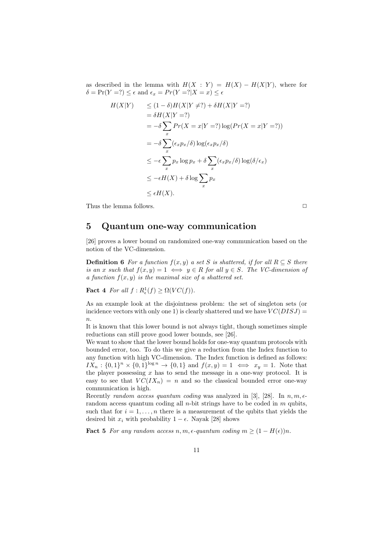as described in the lemma with  $H(X: Y) = H(X) - H(X|Y)$ , where for  $\delta = \Pr(Y = ?) \leq \epsilon$  and  $\epsilon_x = \Pr(Y = ? | X = x) \leq \epsilon$ 

$$
H(X|Y) \le (1 - \delta)H(X|Y \neq ?) + \delta H(X|Y = ?)
$$
  
\n
$$
= \delta H(X|Y = ?)
$$
  
\n
$$
= -\delta \sum_{x} Pr(X = x|Y = ?) \log(Pr(X = x|Y = ?))
$$
  
\n
$$
= -\delta \sum_{x} (\epsilon_x p_x/\delta) \log(\epsilon_x p_x/\delta)
$$
  
\n
$$
\le -\epsilon \sum_{x} p_x \log p_x + \delta \sum_{x} (\epsilon_x p_x/\delta) \log(\delta/\epsilon_x)
$$
  
\n
$$
\le -\epsilon H(X) + \delta \log \sum_{x} p_x
$$
  
\n
$$
\le \epsilon H(X).
$$

Thus the lemma follows.  $\Box$ 

### 5 Quantum one-way communication

[26] proves a lower bound on randomized one-way communication based on the notion of the VC-dimension.

**Definition 6** For a function  $f(x, y)$  a set S is shattered, if for all  $R \subseteq S$  there is an x such that  $f(x, y) = 1 \iff y \in R$  for all  $y \in S$ . The VC-dimension of a function  $f(x, y)$  is the maximal size of a shattered set.

**Fact 4** For all  $f: R_{\epsilon}^1(f) \geq \Omega(VC(f)).$ 

As an example look at the disjointness problem: the set of singleton sets (or incidence vectors with only one 1) is clearly shattered und we have  $VC(DISJ)$  =  $\overline{n}$ .

It is known that this lower bound is not always tight, though sometimes simple reductions can still prove good lower bounds, see [26].

We want to show that the lower bound holds for one-way quantum protocols with bounded error, too. To do this we give a reduction from the Index function to any function with high VC-dimension. The Index function is defined as follows:  $IX_n: \{0,1\}^n \times \{0,1\}^{\log n} \to \{0,1\}$  and  $f(x,y) = 1 \iff x_y = 1$ . Note that the player possessing  $x$  has to send the message in a one-way protocol. It is easy to see that  $VC(IX_n) = n$  and so the classical bounded error one-way communication is high.

Recently random access quantum coding was analyzed in [3], [28]. In  $n, m, \epsilon$ random access quantum coding all *n*-bit strings have to be coded in  $m$  qubits, such that for  $i = 1, \ldots, n$  there is a measurement of the qubits that yields the desired bit  $x_i$  with probability  $1 - \epsilon$ . Nayak [28] shows

**Fact 5** For any random access  $n, m, \epsilon$ -quantum coding  $m \geq (1 - H(\epsilon))n$ .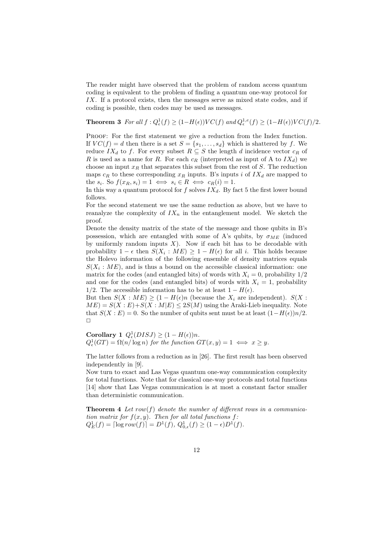The reader might have observed that the problem of random access quantum coding is equivalent to the problem of finding a quantum one-way protocol for IX. If a protocol exists, then the messages serve as mixed state codes, and if coding is possible, then codes may be used as messages.

**Theorem 3** For all  $f: Q_{\epsilon}^1(f) \geq (1 - H(\epsilon))VC(f)$  and  $Q_{\epsilon}^{1,\epsilon}(f) \geq (1 - H(\epsilon))VC(f)/2$ .

PROOF: For the first statement we give a reduction from the Index function. If  $VC(f) = d$  then there is a set  $S = \{s_1, \ldots, s_d\}$  which is shattered by f. We reduce  $IX_d$  to f. For every subset  $R \subseteq S$  the length d incidence vector  $c_R$  of R is used as a name for R. For each  $c_R$  (interpreted as input of A to  $IX_d$ ) we choose an input  $x_R$  that separates this subset from the rest of S. The reduction maps  $c_R$  to these corresponding  $x_R$  inputs. B's inputs i of  $IX_d$  are mapped to the  $s_i$ . So  $f(x_R, s_i) = 1 \iff s_i \in R \iff c_R(i) = 1$ .

In this way a quantum protocol for f solves  $IX_d$ . By fact 5 the first lower bound follows.

For the second statement we use the same reduction as above, but we have to reanalyze the complexity of  $IX_n$  in the entanglement model. We sketch the proof.

Denote the density matrix of the state of the message and those qubits in B's possession, which are entangled with some of A's qubits, by  $\sigma_{ME}$  (induced by uniformly random inputs  $X$ ). Now if each bit has to be decodable with probability  $1 - \epsilon$  then  $S(X_i : ME) \geq 1 - H(\epsilon)$  for all i. This holds because the Holevo information of the following ensemble of density matrices equals  $S(X_i: ME)$ , and is thus a bound on the accessible classical information: one matrix for the codes (and entangled bits) of words with  $X_i = 0$ , probability  $1/2$ and one for the codes (and entangled bits) of words with  $X_i = 1$ , probability 1/2. The accessible information has to be at least  $1 - H(\epsilon)$ .

But then  $S(X : ME) \geq (1 - H(\epsilon)n)$  (because the  $X_i$  are independent).  $S(X : ME)$  $ME = S(X : E) + S(X : M | E) \leq 2S(M)$  using the Araki-Lieb inequality. Note that  $S(X : E) = 0$ . So the number of qubits sent must be at least  $(1 - H(\epsilon))n/2$ .  $\Box$ 

Corollary 1  $Q_{\epsilon}^1(DISJ) \geq (1 - H(\epsilon))n$ .  $Q_{\epsilon}^{1}(GT) = \Omega(n/\log n)$  for the function  $GT(x, y) = 1 \iff x \geq y$ .

The latter follows from a reduction as in [26]. The first result has been observed independently in [9].

Now turn to exact and Las Vegas quantum one-way communication complexity for total functions. Note that for classical one-way protocols and total functions [14] show that Las Vegas communication is at most a constant factor smaller than deterministic communication.

**Theorem 4** Let row(f) denote the number of different rows in a communication matrix for  $f(x, y)$ . Then for all total functions f:  $Q_E^1(f) = \lceil \log row(f) \rceil = D^1(f), Q_{0,\epsilon}^1(f) \ge (1 - \epsilon)D^1(f).$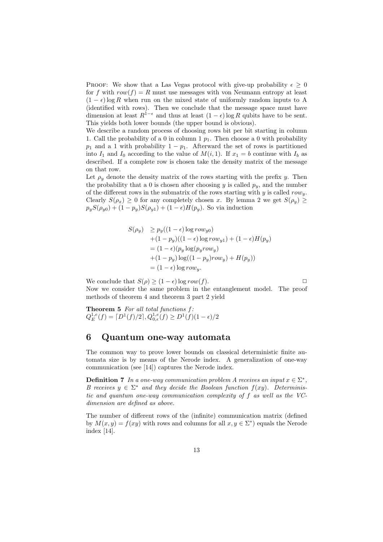PROOF: We show that a Las Vegas protocol with give-up probability  $\epsilon \geq 0$ for f with  $row(f) = R$  must use messages with von Neumann entropy at least  $(1 - \epsilon)$  log R when run on the mixed state of uniformly random inputs to A (identified with rows). Then we conclude that the message space must have dimension at least  $R^{1-\epsilon}$  and thus at least  $(1-\epsilon)$  log R qubits have to be sent. This yields both lower bounds (the upper bound is obvious).

We describe a random process of choosing rows bit per bit starting in column 1. Call the probability of a 0 in column 1  $p_1$ . Then choose a 0 with probability  $p_1$  and a 1 with probability  $1 - p_1$ . Afterward the set of rows is partitioned into  $I_1$  and  $I_0$  according to the value of  $M(i, 1)$ . If  $x_1 = b$  continue with  $I_b$  as described. If a complete row is chosen take the density matrix of the message on that row.

Let  $\rho_y$  denote the density matrix of the rows starting with the prefix y. Then the probability that a 0 is chosen after choosing  $y$  is called  $p_y$ , and the number of the different rows in the submatrix of the rows starting with  $y$  is called  $row_y$ . Clearly  $S(\rho_x) \geq 0$  for any completely chosen x. By lemma 2 we get  $S(\rho_y) \geq 0$  $p_yS(\rho_{y0}) + (1 - p_y)S(\rho_{y1}) + (1 - \epsilon)H(p_y)$ . So via induction

$$
S(\rho_y) \ge p_y((1 - \epsilon) \log row_{y0})
$$
  
+ (1 - p\_y)((1 - \epsilon) \log row\_{y1}) + (1 - \epsilon)H(p\_y)  
= (1 - \epsilon)(p\_y \log(p\_y row\_y)  
+ (1 - p\_y) \log((1 - p\_y) row\_y) + H(p\_y))  
= (1 - \epsilon) \log row\_y.

We conclude that  $S(\rho) > (1 - \epsilon) \log row(f)$ . Now we consider the same problem in the entanglement model. The proof methods of theorem 4 and theorem 3 part 2 yield

**Theorem 5** For all total functions  $f$ :  $Q_E^{1,e}(f) = [D^1(f)/2], Q_{0,\epsilon}^{1,e}(f) \ge D^1(f)(1-\epsilon)/2$ 

#### 6 Quantum one-way automata

The common way to prove lower bounds on classical deterministic finite automata size is by means of the Nerode index. A generalization of one-way communication (see [14]) captures the Nerode index.

**Definition 7** In a one-way communication problem A receives an input  $x \in \Sigma^*$ , B receives  $y \in \Sigma^*$  and they decide the Boolean function  $f(xy)$ . Deterministic and quantum one-way communication complexity of f as well as the VCdimension are defined as above.

The number of different rows of the (infinite) communication matrix (defined by  $M(x, y) = f(xy)$  with rows and columns for all  $x, y \in \Sigma^*$  equals the Nerode index [14].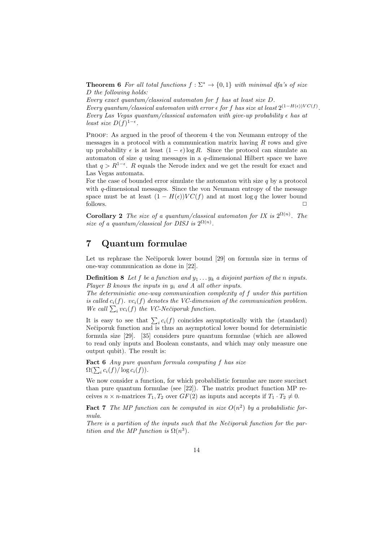**Theorem 6** For all total functions  $f : \Sigma^* \to \{0,1\}$  with minimal dfa's of size D the following holds:

Every exact quantum/classical automaton for f has at least size D. Every quantum/classical automaton with error  $\epsilon$  for f has size at least  $2^{(1-H(\epsilon))VC(f)}$ . Every Las Vegas quantum/classical automaton with give-up probability  $\epsilon$  has at least size  $D(f)^{1-\epsilon}$ .

Proof: As argued in the proof of theorem 4 the von Neumann entropy of the messages in a protocol with a communication matrix having  $R$  rows and give up probability  $\epsilon$  is at least  $(1 - \epsilon) \log R$ . Since the protocol can simulate an automaton of size  $q$  using messages in a  $q$ -dimensional Hilbert space we have that  $q > R^{1-\epsilon}$ . R equals the Nerode index and we get the result for exact and Las Vegas automata.

For the case of bounded error simulate the automaton with size  $q$  by a protocol with  $q$ -dimensional messages. Since the von Neumann entropy of the message space must be at least  $(1 - H(\epsilon))VC(f)$  and at most log q the lower bound follows.  $\Box$ 

**Corollary 2** The size of a quantum/classical automaton for IX is  $2^{\Omega(n)}$ . The size of a quantum/classical for DISJ is  $2^{\Omega(n)}$ .

## 7 Quantum formulae

Let us rephrase the Nečiporuk lower bound [29] on formula size in terms of one-way communication as done in [22].

**Definition 8** Let f be a function and  $y_1 \nldots y_k$  a disjoint partion of the n inputs. Player B knows the inputs in  $y_i$  and A all other inputs.

The deterministic one-way communication complexity of f under this partition is called  $c_i(f)$ .  $vc_i(f)$  denotes the VC-dimension of the communication problem. We call  $\sum_i vc_i(f)$  the VC-Nečiporuk function.

It is easy to see that  $\sum_i c_i(f)$  coincides asymptotically with the (standard) Nečiporuk function and is thus an asymptotical lower bound for deterministic formula size [29]. [35] considers pure quantum formulae (which are allowed to read only inputs and Boolean constants, and which may only measure one output qubit). The result is:

Fact 6 Any pure quantum formula computing f has size  $\Omega(\sum_i c_i(f)/\log c_i(f)).$ 

We now consider a function, for which probabilistic formulae are more succinct than pure quantum formulae (see [22]). The matrix product function MP receives  $n \times n$ -matrices  $T_1, T_2$  over  $GF(2)$  as inputs and accepts if  $T_1 \cdot T_2 \neq 0$ .

**Fact 7** The MP function can be computed in size  $O(n^2)$  by a probabilistic formula.

There is a partition of the inputs such that the Nečiporuk function for the partition and the MP function is  $\Omega(n^3)$ .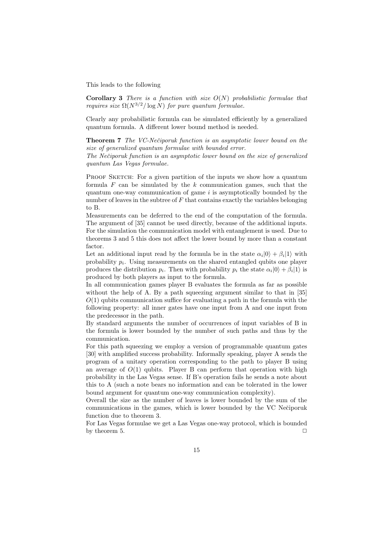This leads to the following

**Corollary 3** There is a function with size  $O(N)$  probabilistic formulae that requires size  $\Omega(N^{3/2}/\log N)$  for pure quantum formulae.

Clearly any probabilistic formula can be simulated efficiently by a generalized quantum formula. A different lower bound method is needed.

**Theorem 7** The VC-Nečiporuk function is an asymptotic lower bound on the size of generalized quantum formulae with bounded error.

The Nečiporuk function is an asymptotic lower bound on the size of generalized quantum Las Vegas formulae.

PROOF SKETCH: For a given partition of the inputs we show how a quantum formula  $F$  can be simulated by the  $k$  communication games, such that the quantum one-way communication of game  $i$  is asymptotically bounded by the number of leaves in the subtree of  $F$  that contains exactly the variables belonging to B.

Measurements can be deferred to the end of the computation of the formula. The argument of [35] cannot be used directly, because of the additional inputs. For the simulation the communication model with entanglement is used. Due to theorems 3 and 5 this does not affect the lower bound by more than a constant factor.

Let an additional input read by the formula be in the state  $\alpha_i|0\rangle + \beta_i|1\rangle$  with probability  $p_i$ . Using measurements on the shared entangled qubits one player produces the distribution  $p_i$ . Then with probability  $p_i$  the state  $\alpha_i|0\rangle + \beta_i|1\rangle$  is produced by both players as input to the formula.

In all communication games player B evaluates the formula as far as possible without the help of A. By a path squeezing argument similar to that in [35]  $O(1)$  qubits communication suffice for evaluating a path in the formula with the following property: all inner gates have one input from A and one input from the predecessor in the path.

By standard arguments the number of occurrences of input variables of B in the formula is lower bounded by the number of such paths and thus by the communication.

For this path squeezing we employ a version of programmable quantum gates [30] with amplified success probability. Informally speaking, player A sends the program of a unitary operation corresponding to the path to player B using an average of  $O(1)$  qubits. Player B can perform that operation with high probability in the Las Vegas sense. If B's operation fails he sends a note about this to A (such a note bears no information and can be tolerated in the lower bound argument for quantum one-way communication complexity).

Overall the size as the number of leaves is lower bounded by the sum of the communications in the games, which is lower bounded by the VC Nečiporuk function due to theorem 3.

For Las Vegas formulae we get a Las Vegas one-way protocol, which is bounded by theorem 5.  $\Box$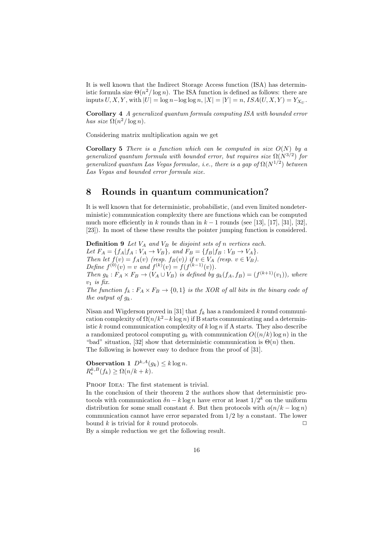It is well known that the Indirect Storage Access function (ISA) has deterministic formula size  $\Theta(n^2/\log n)$ . The ISA function is defined as follows: there are inputs  $U, X, Y$ , with  $|U| = \log n - \log \log n$ ,  $|X| = |Y| = n$ ,  $ISA(U, X, Y) = Y_{X_U}$ .

Corollary 4 A generalized quantum formula computing ISA with bounded error has size  $\Omega(n^2/\log n)$ .

Considering matrix multiplication again we get

**Corollary 5** There is a function which can be computed in size  $O(N)$  by a generalized quantum formula with bounded error, but requires size  $\Omega(N^{3/2})$  for generalized quantum Las Vegas formulae, i.e., there is a gap of  $\Omega(N^{1/2})$  between Las Vegas and bounded error formula size.

#### 8 Rounds in quantum communication?

It is well known that for deterministic, probabilistic, (and even limited nondeterministic) communication complexity there are functions which can be computed much more efficiently in k rounds than in  $k-1$  rounds (see [13], [17], [31], [32], [23]). In most of these these results the pointer jumping function is considered.

**Definition 9** Let  $V_A$  and  $V_B$  be disjoint sets of n vertices each. Let  $F_A = \{f_A | f_A : V_A \rightarrow V_B\}$ , and  $F_B = \{f_B | f_B : V_B \rightarrow V_A\}$ . Then let  $f(v) = f_A(v)$  (resp.  $f_B(v)$ ) if  $v \in V_A$  (resp.  $v \in V_B$ ). Define  $f^{(0)}(v) = v$  and  $f^{(k)}(v) = f(f^{(k-1)}(v)).$ Then  $g_k : F_A \times F_B \to (V_A \cup V_B)$  is defined by  $g_k(f_A, f_B) = (f^{(k+1)}(v_1)),$  where  $v_1$  is fix. The function  $f_k : F_A \times F_B \to \{0,1\}$  is the XOR of all bits in the binary code of the output of  $q_k$ .

Nisan and Wigderson proved in [31] that  $f_k$  has a randomized k round communication complexity of  $\Omega(n/k^2 - k \log n)$  if B starts communicating and a deterministic k round communication complexity of  $k \log n$  if A starts. They also describe a randomized protocol computing  $g_k$  with communication  $O((n/k) \log n)$  in the "bad" situation, [32] show that deterministic communication is  $\Theta(n)$  then. The following is however easy to deduce from the proof of [31].

**Observation 1**  $D^{k,A}(g_k) \leq k \log n$ .  $R_{\epsilon}^{k,B}(f_k) \geq \Omega(n/k + k).$ 

PROOF IDEA: The first statement is trivial.

In the conclusion of their theorem 2 the authors show that deterministic protocols with communication  $\delta n - k \log n$  have error at least  $1/2^k$  on the uniform distribution for some small constant  $\delta$ . But then protocols with  $o(n/k - \log n)$ communication cannot have error separated from 1/2 by a constant. The lower bound k is trivial for k round protocols.  $\Box$ 

By a simple reduction we get the following result.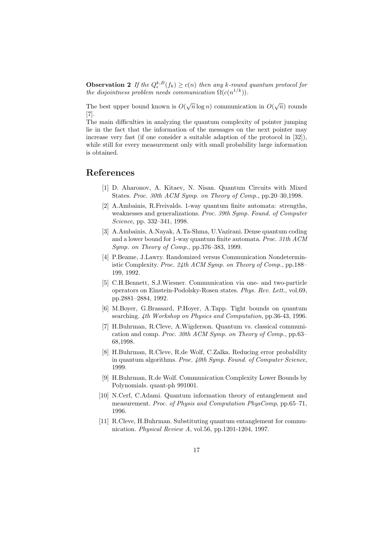**Observation 2** If the  $Q_{\epsilon}^{k,B}(f_k) \ge c(n)$  then any k-round quantum protocol for the disjointness problem needs communication  $\Omega(c(n^{1/k}))$ .

The best upper bound known is  $O(\sqrt{n}\log n)$  communication in  $O(\sqrt{n})$  rounds [7].

The main difficulties in analyzing the quantum complexity of pointer jumping lie in the fact that the information of the messages on the next pointer may increase very fast (if one consider a suitable adaption of the protocol in [32]), while still for every measurement only with small probability large information is obtained.

#### References

- [1] D. Aharonov, A. Kitaev, N. Nisan. Quantum Circuits with Mixed States. Proc. 30th ACM Symp. on Theory of Comp., pp.20–30,1998.
- [2] A.Ambainis, R.Freivalds. 1-way quantum finite automata: strengths, weaknesses and generalizations. Proc. 39th Symp. Found. of Computer Science, pp. 332–341, 1998.
- [3] A.Ambainis, A.Nayak, A.Ta-Shma, U.Vazirani. Dense quantum coding and a lower bound for 1-way quantum finite automata. Proc. 31th ACM Symp. on Theory of Comp., pp.376–383, 1999.
- [4] P.Beame, J.Lawry. Randomized versus Communication Nondeterministic Complexity. Proc. 24th ACM Symp. on Theory of Comp., pp.188– 199, 1992.
- [5] C.H.Bennett, S.J.Wiesner. Communication via one- and two-particle operators on Einstein-Podolsky-Rosen states. Phys. Rev. Lett., vol.69, pp.2881–2884, 1992.
- [6] M.Boyer, G.Brassard, P.Hoyer, A.Tapp. Tight bounds on quantum searching. 4th Workshop on Physics and Computation, pp.36-43, 1996.
- [7] H.Buhrman, R.Cleve, A.Wigderson. Quantum vs. classical communication and comp. Proc. 30th ACM Symp. on Theory of Comp., pp.63– 68,1998.
- [8] H.Buhrman, R.Cleve, R.de Wolf, C.Zalka. Reducing error probability in quantum algorithms. Proc. 40th Symp. Found. of Computer Science, 1999.
- [9] H.Buhrman, R.de Wolf. Communication Complexity Lower Bounds by Polynomials. quant-ph 991001.
- [10] N.Cerf, C.Adami. Quantum information theory of entanglement and measurement. Proc. of Physis and Computation PhysComp, pp.65–71, 1996.
- [11] R.Cleve, H.Buhrman. Substituting quantum entanglement for communication. Physical Review A, vol.56, pp.1201-1204, 1997.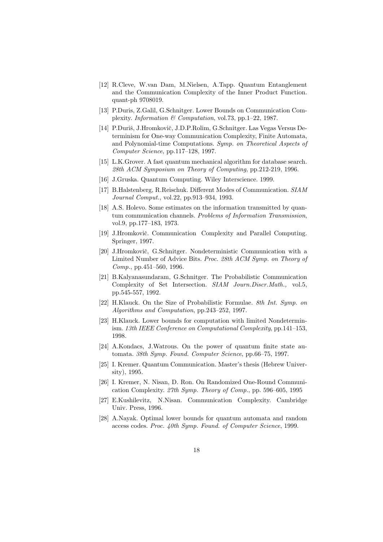- [12] R.Cleve, W.van Dam, M.Nielsen, A.Tapp. Quantum Entanglement and the Communication Complexity of the Inner Product Function. quant-ph 9708019.
- [13] P.Duris, Z.Galil, G.Schnitger. Lower Bounds on Communication Complexity. Information & Computation, vol.73, pp.1–22, 1987.
- [14] P.Duriš, J.Hromkovič, J.D.P.Rolim, G.Schnitger. Las Vegas Versus Determinism for One-way Communication Complexity, Finite Automata, and Polynomial-time Computations. Symp. on Theoretical Aspects of Computer Science, pp.117–128, 1997.
- [15] L.K.Grover. A fast quantum mechanical algorithm for database search. 28th ACM Symposium on Theory of Computing, pp.212-219, 1996.
- [16] J.Gruska. Quantum Computing. Wiley Interscience. 1999.
- [17] B.Halstenberg, R.Reischuk. Different Modes of Communication. SIAM Journal Comput., vol.22, pp.913–934, 1993.
- [18] A.S. Holevo. Some estimates on the information transmitted by quantum communication channels. Problems of Information Transmission, vol.9, pp.177–183, 1973.
- [19] J.Hromkovič. Communication Complexity and Parallel Computing. Springer, 1997.
- [20] J.Hromkovič, G.Schnitger. Nondeterministic Communication with a Limited Number of Advice Bits. Proc. 28th ACM Symp. on Theory of Comp., pp.451–560, 1996.
- [21] B.Kalyanasundaram, G.Schnitger. The Probabilistic Communication Complexity of Set Intersection. SIAM Journ.Discr.Math., vol.5, pp.545-557, 1992.
- [22] H.Klauck. On the Size of Probabilistic Formulae. 8th Int. Symp. on Algorithms and Computation, pp.243–252, 1997.
- [23] H.Klauck. Lower bounds for computation with limited Nondeterminism. 13th IEEE Conference on Computational Complexity, pp.141–153, 1998.
- [24] A.Kondacs, J.Watrous. On the power of quantum finite state automata. 38th Symp. Found. Computer Science, pp.66–75, 1997.
- [25] I. Kremer. Quantum Communication. Master's thesis (Hebrew University), 1995.
- [26] I. Kremer, N. Nisan, D. Ron. On Randomized One-Round Communication Complexity. 27th Symp. Theory of Comp., pp. 596–605, 1995
- [27] E.Kushilevitz, N.Nisan. Communication Complexity. Cambridge Univ. Press, 1996.
- [28] A.Nayak. Optimal lower bounds for quantum automata and random access codes. Proc. 40th Symp. Found. of Computer Science, 1999.